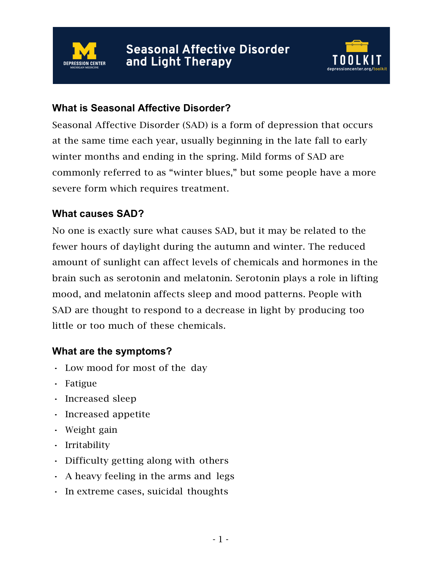



#### **What is Seasonal Affective Disorder?**

Seasonal Affective Disorder (SAD) is a form of depression that occurs at the same time each year, usually beginning in the late fall to early winter months and ending in the spring. Mild forms of SAD are commonly referred to as "winter blues," but some people have a more severe form which requires treatment.

#### **What causes SAD?**

No one is exactly sure what causes SAD, but it may be related to the fewer hours of daylight during the autumn and winter. The reduced amount of sunlight can affect levels of chemicals and hormones in the brain such as serotonin and melatonin. Serotonin plays a role in lifting mood, and melatonin affects sleep and mood patterns. People with SAD are thought to respond to a decrease in light by producing too little or too much of these chemicals.

#### **What are the symptoms?**

- Low mood for most of the day
- Fatigue
- Increased sleep
- Increased appetite
- Weight gain
- Irritability
- Difficulty getting along with others
- A heavy feeling in the arms and legs
- In extreme cases, suicidal thoughts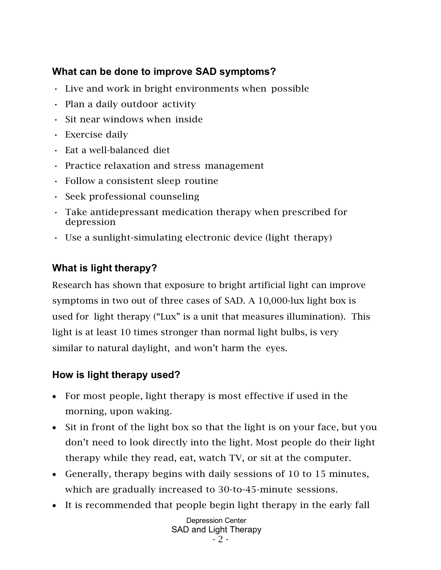### **What can be done to improve SAD symptoms?**

- Live and work in bright environments when possible
- Plan a daily outdoor activity
- Sit near windows when inside
- Exercise daily
- Eat a well-balanced diet
- Practice relaxation and stress management
- Follow a consistent sleep routine
- Seek professional counseling
- Take antidepressant medication therapy when prescribed for depression
- Use a sunlight-simulating electronic device (light therapy)

# **What is light therapy?**

Research has shown that exposure to bright artificial light can improve symptoms in two out of three cases of SAD. A 10,000-lux light box is used for light therapy ("Lux" is a unit that measures illumination). This light is at least 10 times stronger than normal light bulbs, is very similar to natural daylight, and won't harm the eyes.

## **How is light therapy used?**

- For most people, light therapy is most effective if used in the morning, upon waking.
- Sit in front of the light box so that the light is on your face, but you don't need to look directly into the light. Most people do their light therapy while they read, eat, watch TV, or sit at the computer.
- Generally, therapy begins with daily sessions of 10 to 15 minutes, which are gradually increased to 30-to-45-minute sessions.
- It is recommended that people begin light therapy in the early fall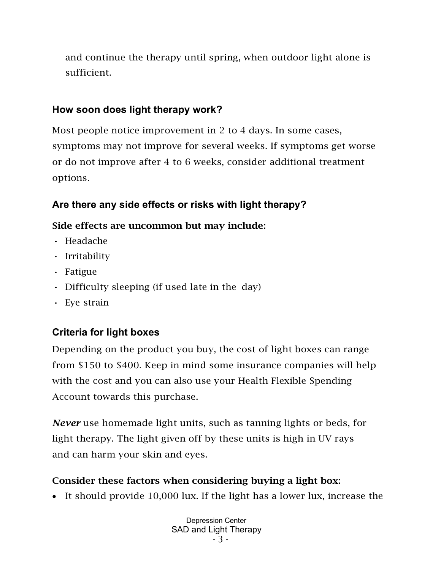and continue the therapy until spring, when outdoor light alone is sufficient.

### **How soon does light therapy work?**

Most people notice improvement in 2 to 4 days. In some cases, symptoms may not improve for several weeks. If symptoms get worse or do not improve after 4 to 6 weeks, consider additional treatment options.

## **Are there any side effects or risks with light therapy?**

### Side effects are uncommon but may include:

- Headache
- Irritability
- Fatigue
- Difficulty sleeping (if used late in the day)
- Eye strain

# **Criteria for light boxes**

Depending on the product you buy, the cost of light boxes can range from \$150 to \$400. Keep in mind some insurance companies will help with the cost and you can also use your Health Flexible Spending Account towards this purchase.

*Never* use homemade light units, such as tanning lights or beds, for light therapy. The light given off by these units is high in UV rays and can harm your skin and eyes.

# Consider these factors when considering buying a light box:

• It should provide 10,000 lux. If the light has a lower lux, increase the